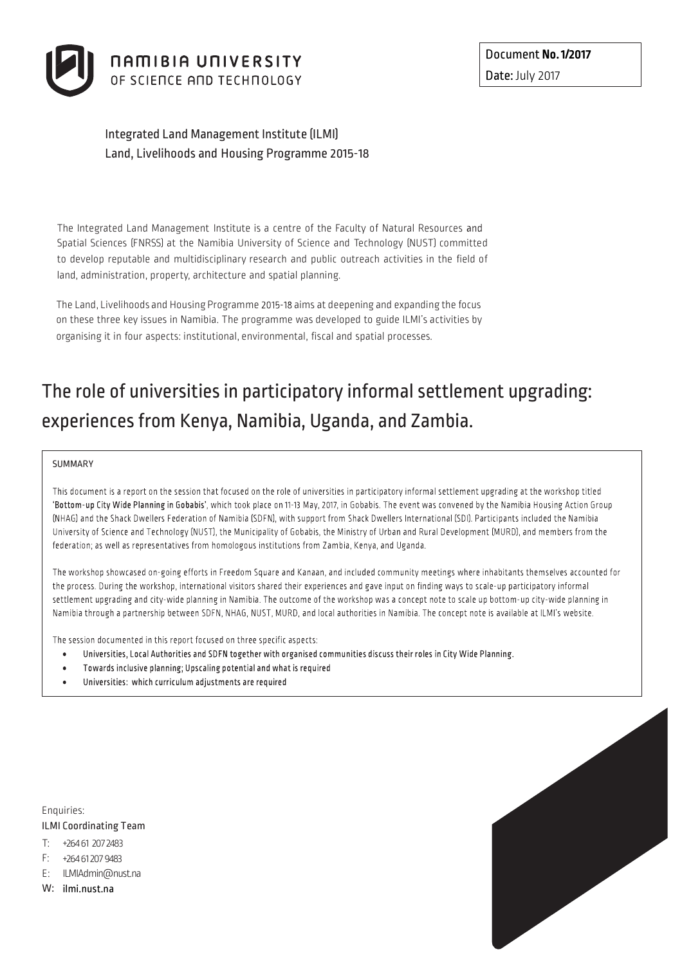

# Integrated Land Management Institute (ILMI) Land, Livelihoods and Housing Programme 2015-18

The Integrated Land Management Institute is a centre of the Faculty of Natural Resources Spatial Sciences (FNRSS) at the Namibia University of Science and Technology (NUST) committed to develop reputable and multidisciplinary research and public outreach activities in the field of land, administration, property, architecture and spatial planning.

The Land, Livelihoods and Housing Programme 2015-18 aims at deepening and expanding the focus on these three key issues in Namibia. The programme was developed to guide ILMI's activities by organising it in four aspects: institutional, environmental, fiscal and spatial processes.

# The role of universities in participatory informal settlement upgrading: experiencesfrom Kenya, Namibia, Uganda, and Zambia.

#### SUMMARY

This document is a report on the session that focused on the role of universities in participatory informal settlement upgrading at the workshop titled 'Bottom-up City Wide Planning in Gobabis', which took place on 11-13 May, 2017, in Gobabis. The event was convened by the Namibia Housing Action Group (NHAG) and the Shack Dwellers Federation of Namibia (SDFN), with support from Shack Dwellers International (SDI). Participants included the Namibia University of Science and Technology (NUST), the Municipality of Gobabis, the Ministry of Urban and Rural Development (MURD), and members from the federation; as well as representatives from homologous institutions from Zambia, Kenya, and Uganda.

The workshop showcased on-going efforts in Freedom Square and Kanaan, and included community meetings where inhabitants themselves accounted for the process. During the workshop, international visitors shared their experiences and gave input on finding ways to scale-up participatory informal settlement upgrading and city-wide planning in Namibia. The outcome of the workshop was a concept note to scale up bottom-up city-wide planning in Namibia through a partnership between SDFN, NHAG, NUST, MURD, and local authorities in Namibia. The concept note is available at ILMI's website.

The session documented in this report focused on three specific aspects:

- Universities, Local Authorities and SDFN together with organised communities discuss their roles in City Wide Planning.
- Towards inclusive planning; Upscaling potential and what is required
- Universities: which curriculum adjustments are required

Enquiries: ILMI Coordinating Team

- T: +264 61 207 2483
- F: +264 61 207 9483
- E: ILMIAdmin@nust.na
- W: ilmi.nust.na

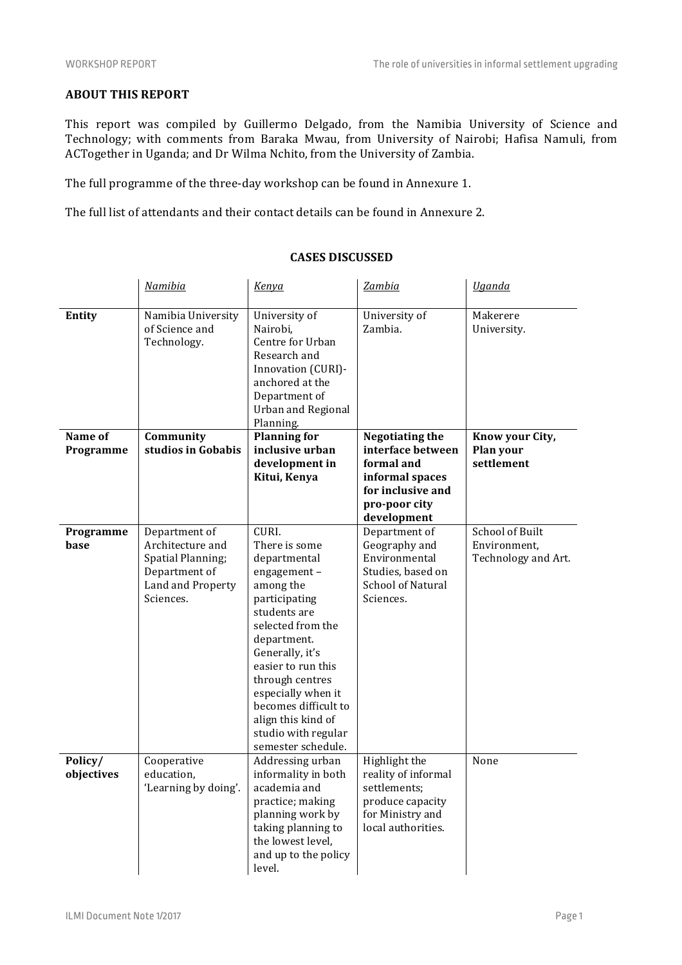# **ABOUT THIS REPORT**

This report was compiled by Guillermo Delgado, from the Namibia University of Science and Technology; with comments from Baraka Mwau, from University of Nairobi; Hafisa Namuli, from ACTogether in Uganda; and Dr Wilma Nchito, from the University of Zambia.

The full programme of the three-day workshop can be found in Annexure 1.

The full list of attendants and their contact details can be found in Annexure 2.

|                       | Namibia                                                                                                          | Kenya                                                                                                                                                                                                                                                                                                                | Zambia                                                                                                                            | <b>Uganda</b>                                                 |
|-----------------------|------------------------------------------------------------------------------------------------------------------|----------------------------------------------------------------------------------------------------------------------------------------------------------------------------------------------------------------------------------------------------------------------------------------------------------------------|-----------------------------------------------------------------------------------------------------------------------------------|---------------------------------------------------------------|
| Entity                | Namibia University<br>of Science and<br>Technology.                                                              | University of<br>Nairobi,<br>Centre for Urban<br>Research and<br>Innovation (CURI)-<br>anchored at the<br>Department of<br><b>Urban and Regional</b><br>Planning.                                                                                                                                                    | University of<br>Zambia.                                                                                                          | Makerere<br>University.                                       |
| Name of<br>Programme  | Community<br>studios in Gobabis                                                                                  | <b>Planning for</b><br>inclusive urban<br>development in<br>Kitui, Kenya                                                                                                                                                                                                                                             | <b>Negotiating the</b><br>interface between<br>formal and<br>informal spaces<br>for inclusive and<br>pro-poor city<br>development | Know your City,<br>Plan your<br>settlement                    |
| Programme<br>base     | Department of<br>Architecture and<br><b>Spatial Planning;</b><br>Department of<br>Land and Property<br>Sciences. | CURI.<br>There is some<br>departmental<br>engagement-<br>among the<br>participating<br>students are<br>selected from the<br>department.<br>Generally, it's<br>easier to run this<br>through centres<br>especially when it<br>becomes difficult to<br>align this kind of<br>studio with regular<br>semester schedule. | Department of<br>Geography and<br>Environmental<br>Studies, based on<br><b>School of Natural</b><br>Sciences.                     | <b>School of Built</b><br>Environment,<br>Technology and Art. |
| Policy/<br>objectives | Cooperative<br>education,<br>'Learning by doing'.                                                                | Addressing urban<br>informality in both<br>academia and<br>practice; making<br>planning work by<br>taking planning to<br>the lowest level,<br>and up to the policy<br>level.                                                                                                                                         | Highlight the<br>reality of informal<br>settlements;<br>produce capacity<br>for Ministry and<br>local authorities.                | None                                                          |

#### **CASES DISCUSSED**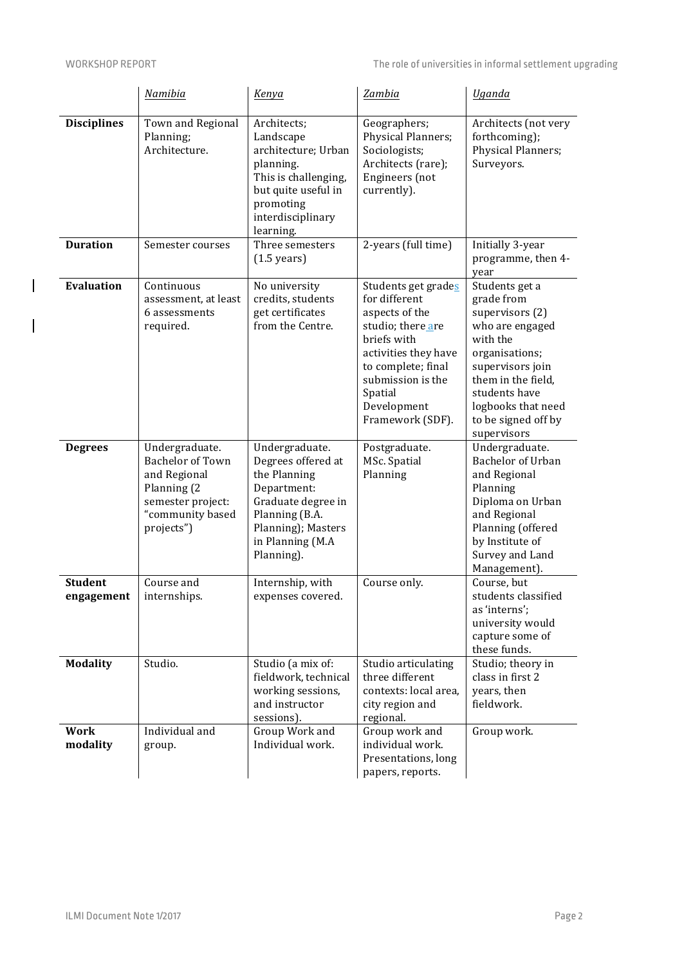$\overline{\phantom{a}}$ 

 $\overline{\phantom{a}}$ 

|                              | Namibia                                                                                                                         | Kenya                                                                                                                                                               | <b>Zambia</b>                                                                                                                                                                                               | <b>Uganda</b>                                                                                                                                                                                                           |
|------------------------------|---------------------------------------------------------------------------------------------------------------------------------|---------------------------------------------------------------------------------------------------------------------------------------------------------------------|-------------------------------------------------------------------------------------------------------------------------------------------------------------------------------------------------------------|-------------------------------------------------------------------------------------------------------------------------------------------------------------------------------------------------------------------------|
| <b>Disciplines</b>           | Town and Regional<br>Planning;<br>Architecture.                                                                                 | Architects;<br>Landscape<br>architecture; Urban<br>planning.<br>This is challenging,<br>but quite useful in<br>promoting<br>interdisciplinary<br>learning.          | Geographers;<br>Physical Planners;<br>Sociologists;<br>Architects (rare);<br>Engineers (not<br>currently).                                                                                                  | Architects (not very<br>forthcoming);<br>Physical Planners;<br>Surveyors.                                                                                                                                               |
| <b>Duration</b>              | Semester courses                                                                                                                | Three semesters<br>$(1.5 \text{ years})$                                                                                                                            | 2-years (full time)                                                                                                                                                                                         | Initially 3-year<br>programme, then 4-<br>year                                                                                                                                                                          |
| <b>Evaluation</b>            | Continuous<br>assessment, at least<br>6 assessments<br>required.                                                                | No university<br>credits, students<br>get certificates<br>from the Centre.                                                                                          | Students get grades<br>for different<br>aspects of the<br>studio; there are<br>briefs with<br>activities they have<br>to complete; final<br>submission is the<br>Spatial<br>Development<br>Framework (SDF). | Students get a<br>grade from<br>supervisors (2)<br>who are engaged<br>with the<br>organisations;<br>supervisors join<br>them in the field,<br>students have<br>logbooks that need<br>to be signed off by<br>supervisors |
| <b>Degrees</b>               | Undergraduate.<br><b>Bachelor of Town</b><br>and Regional<br>Planning (2<br>semester project:<br>"community based<br>projects") | Undergraduate.<br>Degrees offered at<br>the Planning<br>Department:<br>Graduate degree in<br>Planning (B.A.<br>Planning); Masters<br>in Planning (M.A<br>Planning). | Postgraduate.<br>MSc. Spatial<br>Planning                                                                                                                                                                   | Undergraduate.<br>Bachelor of Urban<br>and Regional<br>Planning<br>Diploma on Urban<br>and Regional<br>Planning (offered<br>by Institute of<br>Survey and Land<br>Management).                                          |
| <b>Student</b><br>engagement | Course and<br>internships.                                                                                                      | Internship, with<br>expenses covered.                                                                                                                               | Course only.                                                                                                                                                                                                | Course, but<br>students classified<br>as 'interns';<br>university would<br>capture some of<br>these funds.                                                                                                              |
| <b>Modality</b>              | Studio.                                                                                                                         | Studio (a mix of:<br>fieldwork, technical<br>working sessions,<br>and instructor<br>sessions).                                                                      | Studio articulating<br>three different<br>contexts: local area,<br>city region and<br>regional.                                                                                                             | Studio; theory in<br>class in first 2<br>years, then<br>fieldwork.                                                                                                                                                      |
| Work<br>modality             | Individual and<br>group.                                                                                                        | Group Work and<br>Individual work.                                                                                                                                  | Group work and<br>individual work.<br>Presentations, long<br>papers, reports.                                                                                                                               | Group work.                                                                                                                                                                                                             |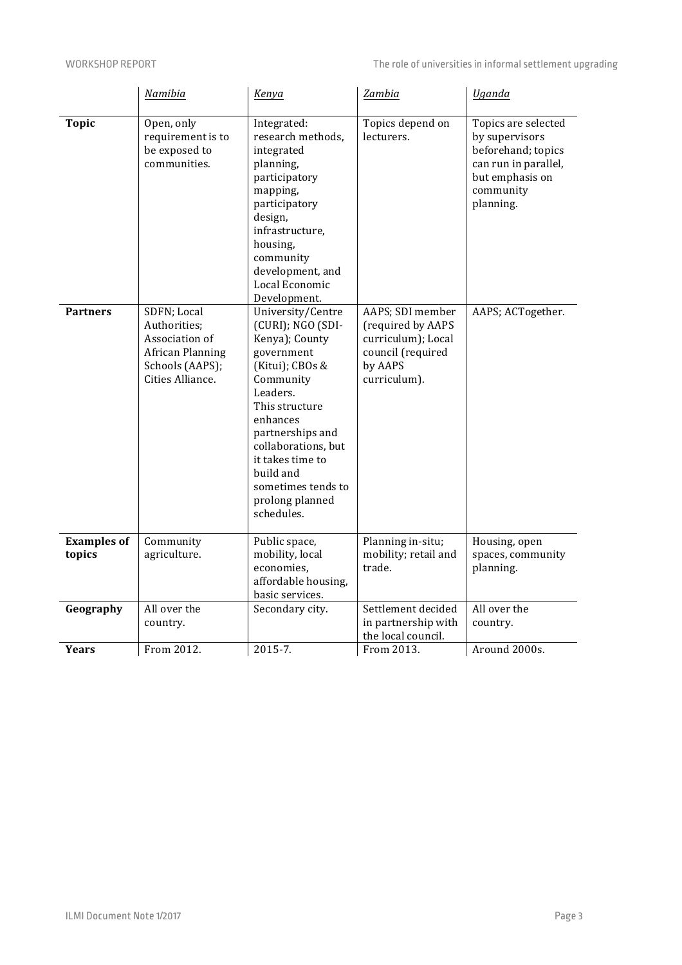|                              | Namibia                                                                                                  | Kenya                                                                                                                                                                                                                                                                               | Zambia                                                                                                      | <b>Uganda</b>                                                                                                                    |
|------------------------------|----------------------------------------------------------------------------------------------------------|-------------------------------------------------------------------------------------------------------------------------------------------------------------------------------------------------------------------------------------------------------------------------------------|-------------------------------------------------------------------------------------------------------------|----------------------------------------------------------------------------------------------------------------------------------|
| <b>Topic</b>                 | Open, only<br>requirement is to<br>be exposed to<br>communities.                                         | Integrated:<br>research methods,<br>integrated<br>planning,<br>participatory<br>mapping,<br>participatory<br>design,<br>infrastructure,<br>housing,<br>community<br>development, and<br>Local Economic<br>Development.                                                              | Topics depend on<br>lecturers.                                                                              | Topics are selected<br>by supervisors<br>beforehand; topics<br>can run in parallel,<br>but emphasis on<br>community<br>planning. |
| <b>Partners</b>              | SDFN; Local<br>Authorities;<br>Association of<br>African Planning<br>Schools (AAPS);<br>Cities Alliance. | University/Centre<br>(CURI); NGO (SDI-<br>Kenya); County<br>government<br>(Kitui); CBOs &<br>Community<br>Leaders.<br>This structure<br>enhances<br>partnerships and<br>collaborations, but<br>it takes time to<br>build and<br>sometimes tends to<br>prolong planned<br>schedules. | AAPS; SDI member<br>(required by AAPS<br>curriculum); Local<br>council (required<br>by AAPS<br>curriculum). | AAPS; ACTogether.                                                                                                                |
| <b>Examples of</b><br>topics | Community<br>agriculture.                                                                                | Public space,<br>mobility, local<br>economies,<br>affordable housing,<br>basic services.                                                                                                                                                                                            | Planning in-situ;<br>mobility; retail and<br>trade.                                                         | Housing, open<br>spaces, community<br>planning.                                                                                  |
| Geography                    | All over the<br>country.                                                                                 | Secondary city.                                                                                                                                                                                                                                                                     | Settlement decided<br>in partnership with<br>the local council.                                             | All over the<br>country.                                                                                                         |
| Years                        | From 2012.                                                                                               | $2015 - 7.$                                                                                                                                                                                                                                                                         | From 2013.                                                                                                  | Around 2000s.                                                                                                                    |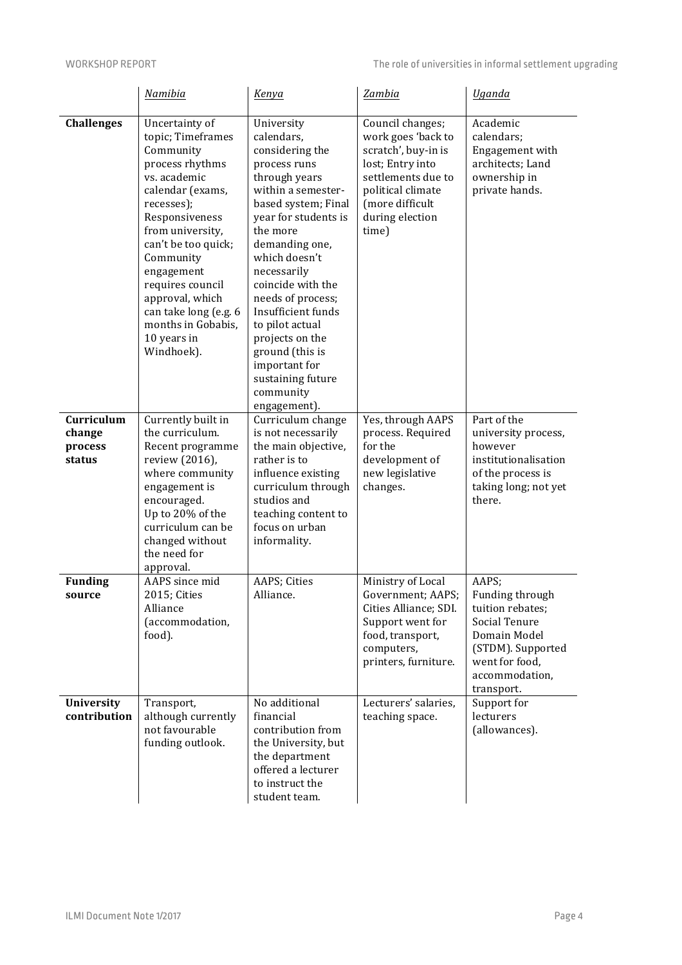|                                           | Namibia                                                                                                                                                                                                                                                                                                                          | Kenya                                                                                                                                                                                                                                                                                                                                                                                                       | Zambia                                                                                                                                                                      | <b>Uganda</b>                                                                                                                                        |
|-------------------------------------------|----------------------------------------------------------------------------------------------------------------------------------------------------------------------------------------------------------------------------------------------------------------------------------------------------------------------------------|-------------------------------------------------------------------------------------------------------------------------------------------------------------------------------------------------------------------------------------------------------------------------------------------------------------------------------------------------------------------------------------------------------------|-----------------------------------------------------------------------------------------------------------------------------------------------------------------------------|------------------------------------------------------------------------------------------------------------------------------------------------------|
| <b>Challenges</b>                         | Uncertainty of<br>topic; Timeframes<br>Community<br>process rhythms<br>vs. academic<br>calendar (exams,<br>recesses);<br>Responsiveness<br>from university,<br>can't be too quick;<br>Community<br>engagement<br>requires council<br>approval, which<br>can take long (e.g. 6<br>months in Gobabis,<br>10 years in<br>Windhoek). | University<br>calendars,<br>considering the<br>process runs<br>through years<br>within a semester-<br>based system; Final<br>year for students is<br>the more<br>demanding one,<br>which doesn't<br>necessarily<br>coincide with the<br>needs of process;<br>Insufficient funds<br>to pilot actual<br>projects on the<br>ground (this is<br>important for<br>sustaining future<br>community<br>engagement). | Council changes;<br>work goes 'back to<br>scratch', buy-in is<br>lost; Entry into<br>settlements due to<br>political climate<br>(more difficult<br>during election<br>time) | Academic<br>calendars;<br>Engagement with<br>architects; Land<br>ownership in<br>private hands.                                                      |
| Curriculum<br>change<br>process<br>status | Currently built in<br>the curriculum.<br>Recent programme<br>review (2016),<br>where community<br>engagement is<br>encouraged.<br>Up to 20% of the<br>curriculum can be<br>changed without<br>the need for<br>approval.                                                                                                          | Curriculum change<br>is not necessarily<br>the main objective,<br>rather is to<br>influence existing<br>curriculum through<br>studios and<br>teaching content to<br>focus on urban<br>informality.                                                                                                                                                                                                          | Yes, through AAPS<br>process. Required<br>for the<br>development of<br>new legislative<br>changes.                                                                          | Part of the<br>university process,<br>however<br>institutionalisation<br>of the process is<br>taking long; not yet<br>there.                         |
| <b>Funding</b><br>source                  | AAPS since mid<br>2015; Cities<br>Alliance<br>(accommodation,<br>food).                                                                                                                                                                                                                                                          | AAPS; Cities<br>Alliance.                                                                                                                                                                                                                                                                                                                                                                                   | Ministry of Local<br>Government; AAPS;<br>Cities Alliance; SDI.<br>Support went for<br>food, transport,<br>computers,<br>printers, furniture.                               | AAPS;<br>Funding through<br>tuition rebates;<br>Social Tenure<br>Domain Model<br>(STDM). Supported<br>went for food,<br>accommodation,<br>transport. |
| University<br>contribution                | Transport,<br>although currently<br>not favourable<br>funding outlook.                                                                                                                                                                                                                                                           | No additional<br>financial<br>contribution from<br>the University, but<br>the department<br>offered a lecturer<br>to instruct the<br>student team.                                                                                                                                                                                                                                                          | Lecturers' salaries,<br>teaching space.                                                                                                                                     | Support for<br>lecturers<br>(allowances).                                                                                                            |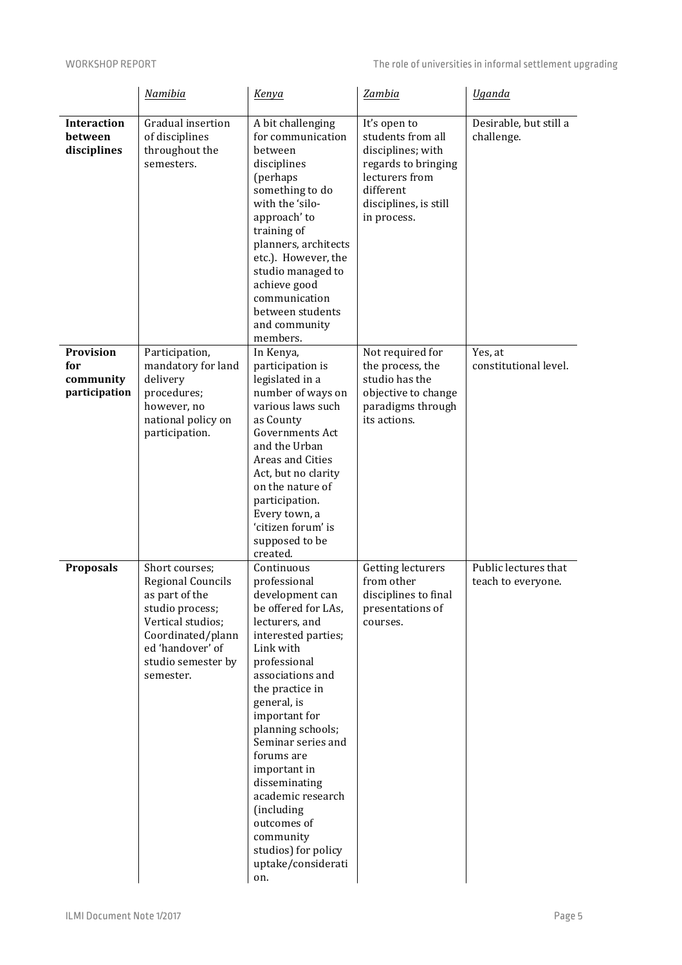|                                                | Namibia                                                                                                                                                                          | Kenya                                                                                                                                                                                                                                                                                                                                                                                                                          | Zambia                                                                                                                                               | <b>Uganda</b>                              |
|------------------------------------------------|----------------------------------------------------------------------------------------------------------------------------------------------------------------------------------|--------------------------------------------------------------------------------------------------------------------------------------------------------------------------------------------------------------------------------------------------------------------------------------------------------------------------------------------------------------------------------------------------------------------------------|------------------------------------------------------------------------------------------------------------------------------------------------------|--------------------------------------------|
| <b>Interaction</b><br>between<br>disciplines   | Gradual insertion<br>of disciplines<br>throughout the<br>semesters.                                                                                                              | A bit challenging<br>for communication<br>between<br>disciplines<br>(perhaps<br>something to do<br>with the 'silo-<br>approach' to<br>training of<br>planners, architects<br>etc.). However, the<br>studio managed to<br>achieve good<br>communication<br>between students<br>and community<br>members.                                                                                                                        | It's open to<br>students from all<br>disciplines; with<br>regards to bringing<br>lecturers from<br>different<br>disciplines, is still<br>in process. | Desirable, but still a<br>challenge.       |
| Provision<br>for<br>community<br>participation | Participation,<br>mandatory for land<br>delivery<br>procedures;<br>however, no<br>national policy on<br>participation.                                                           | In Kenya,<br>participation is<br>legislated in a<br>number of ways on<br>various laws such<br>as County<br><b>Governments Act</b><br>and the Urban<br>Areas and Cities<br>Act, but no clarity<br>on the nature of<br>participation.<br>Every town, a<br>'citizen forum' is<br>supposed to be<br>created.                                                                                                                       | Not required for<br>the process, the<br>studio has the<br>objective to change<br>paradigms through<br>its actions.                                   | Yes, at<br>constitutional level.           |
| <b>Proposals</b>                               | Short courses;<br><b>Regional Councils</b><br>as part of the<br>studio process;<br>Vertical studios;<br>Coordinated/plann<br>ed 'handover' of<br>studio semester by<br>semester. | Continuous<br>professional<br>development can<br>be offered for LAs,<br>lecturers, and<br>interested parties;<br>Link with<br>professional<br>associations and<br>the practice in<br>general, is<br>important for<br>planning schools;<br>Seminar series and<br>forums are<br>important in<br>disseminating<br>academic research<br>(including<br>outcomes of<br>community<br>studios) for policy<br>uptake/considerati<br>on. | Getting lecturers<br>from other<br>disciplines to final<br>presentations of<br>courses.                                                              | Public lectures that<br>teach to everyone. |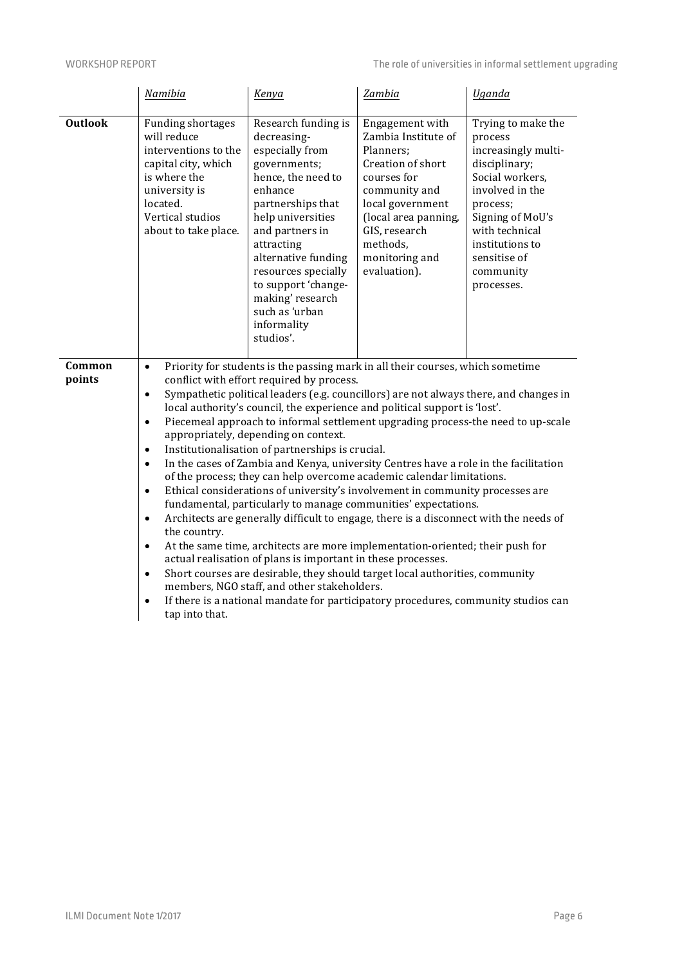|                  | Namibia                                                                                                                                                                         | Kenya                                                                                                                                                                                                                                                                                                                                                                                                                                                                                                                                                                                                                                                                                                                                                                                                                                                                                                                                                                                                                                                                                                                                                                                                                                                                 | Zambia                                                                                                                                                                                                              | <b>Uganda</b>                                                                                                                                                                                                               |
|------------------|---------------------------------------------------------------------------------------------------------------------------------------------------------------------------------|-----------------------------------------------------------------------------------------------------------------------------------------------------------------------------------------------------------------------------------------------------------------------------------------------------------------------------------------------------------------------------------------------------------------------------------------------------------------------------------------------------------------------------------------------------------------------------------------------------------------------------------------------------------------------------------------------------------------------------------------------------------------------------------------------------------------------------------------------------------------------------------------------------------------------------------------------------------------------------------------------------------------------------------------------------------------------------------------------------------------------------------------------------------------------------------------------------------------------------------------------------------------------|---------------------------------------------------------------------------------------------------------------------------------------------------------------------------------------------------------------------|-----------------------------------------------------------------------------------------------------------------------------------------------------------------------------------------------------------------------------|
| <b>Outlook</b>   | <b>Funding shortages</b><br>will reduce<br>interventions to the<br>capital city, which<br>is where the<br>university is<br>located.<br>Vertical studios<br>about to take place. | Research funding is<br>decreasing-<br>especially from<br>governments;<br>hence, the need to<br>enhance<br>partnerships that<br>help universities<br>and partners in<br>attracting<br>alternative funding<br>resources specially<br>to support 'change-<br>making' research<br>such as 'urban<br>informality<br>studios'.                                                                                                                                                                                                                                                                                                                                                                                                                                                                                                                                                                                                                                                                                                                                                                                                                                                                                                                                              | Engagement with<br>Zambia Institute of<br>Planners;<br>Creation of short<br>courses for<br>community and<br>local government<br>(local area panning,<br>GIS, research<br>methods,<br>monitoring and<br>evaluation). | Trying to make the<br>process<br>increasingly multi-<br>disciplinary;<br>Social workers,<br>involved in the<br>process;<br>Signing of MoU's<br>with technical<br>institutions to<br>sensitise of<br>community<br>processes. |
| Common<br>points | $\bullet$<br>$\bullet$<br>$\bullet$<br>$\bullet$<br>$\bullet$<br>$\bullet$<br>$\bullet$<br>the country.<br>$\bullet$<br>$\bullet$<br>$\bullet$<br>tap into that.                | Priority for students is the passing mark in all their courses, which sometime<br>conflict with effort required by process.<br>Sympathetic political leaders (e.g. councillors) are not always there, and changes in<br>local authority's council, the experience and political support is 'lost'.<br>Piecemeal approach to informal settlement upgrading process-the need to up-scale<br>appropriately, depending on context.<br>Institutionalisation of partnerships is crucial.<br>In the cases of Zambia and Kenya, university Centres have a role in the facilitation<br>of the process; they can help overcome academic calendar limitations.<br>Ethical considerations of university's involvement in community processes are<br>fundamental, particularly to manage communities' expectations.<br>Architects are generally difficult to engage, there is a disconnect with the needs of<br>At the same time, architects are more implementation-oriented; their push for<br>actual realisation of plans is important in these processes.<br>Short courses are desirable, they should target local authorities, community<br>members, NGO staff, and other stakeholders.<br>If there is a national mandate for participatory procedures, community studios can |                                                                                                                                                                                                                     |                                                                                                                                                                                                                             |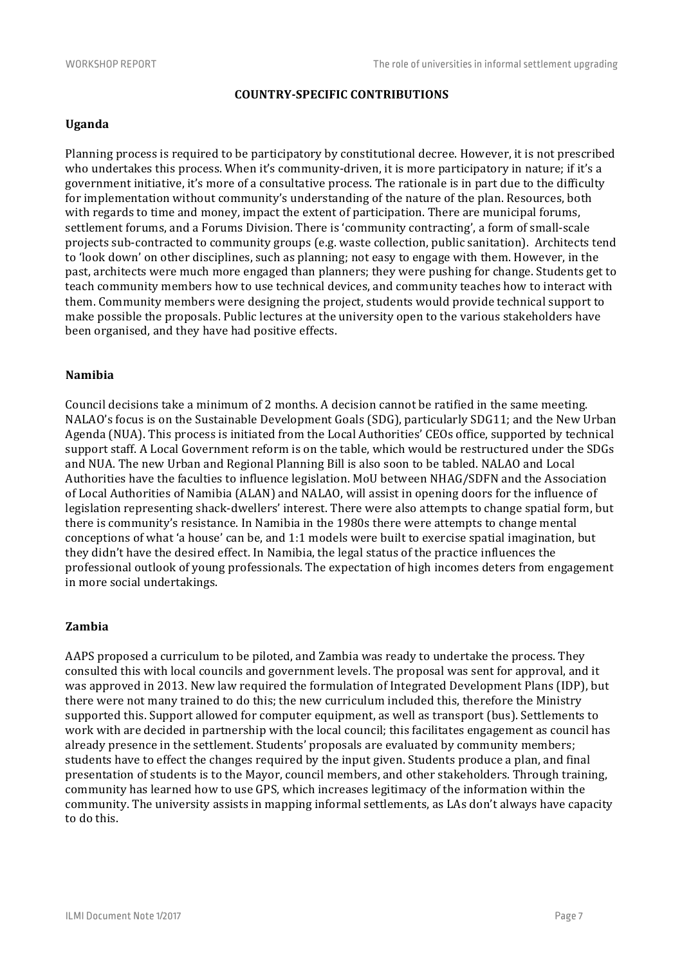# **COUNTRY-SPECIFIC CONTRIBUTIONS**

#### **Uganda**

Planning process is required to be participatory by constitutional decree. However, it is not prescribed who undertakes this process. When it's community-driven, it is more participatory in nature; if it's a government initiative, it's more of a consultative process. The rationale is in part due to the difficulty for implementation without community's understanding of the nature of the plan. Resources, both with regards to time and money, impact the extent of participation. There are municipal forums, settlement forums, and a Forums Division. There is 'community contracting', a form of small-scale projects sub-contracted to community groups (e.g. waste collection, public sanitation). Architects tend to 'look down' on other disciplines, such as planning; not easy to engage with them. However, in the past, architects were much more engaged than planners; they were pushing for change. Students get to teach community members how to use technical devices, and community teaches how to interact with them. Community members were designing the project, students would provide technical support to make possible the proposals. Public lectures at the university open to the various stakeholders have been organised, and they have had positive effects.

# **Namibia**

Council decisions take a minimum of 2 months. A decision cannot be ratified in the same meeting. NALAO's focus is on the Sustainable Development Goals (SDG), particularly SDG11; and the New Urban Agenda (NUA). This process is initiated from the Local Authorities' CEOs office, supported by technical support staff. A Local Government reform is on the table, which would be restructured under the SDGs and NUA. The new Urban and Regional Planning Bill is also soon to be tabled. NALAO and Local Authorities have the faculties to influence legislation. MoU between NHAG/SDFN and the Association of Local Authorities of Namibia (ALAN) and NALAO, will assist in opening doors for the influence of legislation representing shack-dwellers' interest. There were also attempts to change spatial form, but there is community's resistance. In Namibia in the 1980s there were attempts to change mental conceptions of what 'a house' can be, and 1:1 models were built to exercise spatial imagination, but they didn't have the desired effect. In Namibia, the legal status of the practice influences the professional outlook of young professionals. The expectation of high incomes deters from engagement in more social undertakings.

#### **Zambia**

AAPS proposed a curriculum to be piloted, and Zambia was ready to undertake the process. They consulted this with local councils and government levels. The proposal was sent for approval, and it was approved in 2013. New law required the formulation of Integrated Development Plans (IDP), but there were not many trained to do this; the new curriculum included this, therefore the Ministry supported this. Support allowed for computer equipment, as well as transport (bus). Settlements to work with are decided in partnership with the local council; this facilitates engagement as council has already presence in the settlement. Students' proposals are evaluated by community members; students have to effect the changes required by the input given. Students produce a plan, and final presentation of students is to the Mayor, council members, and other stakeholders. Through training, community has learned how to use GPS, which increases legitimacy of the information within the community. The university assists in mapping informal settlements, as LAs don't always have capacity to do this.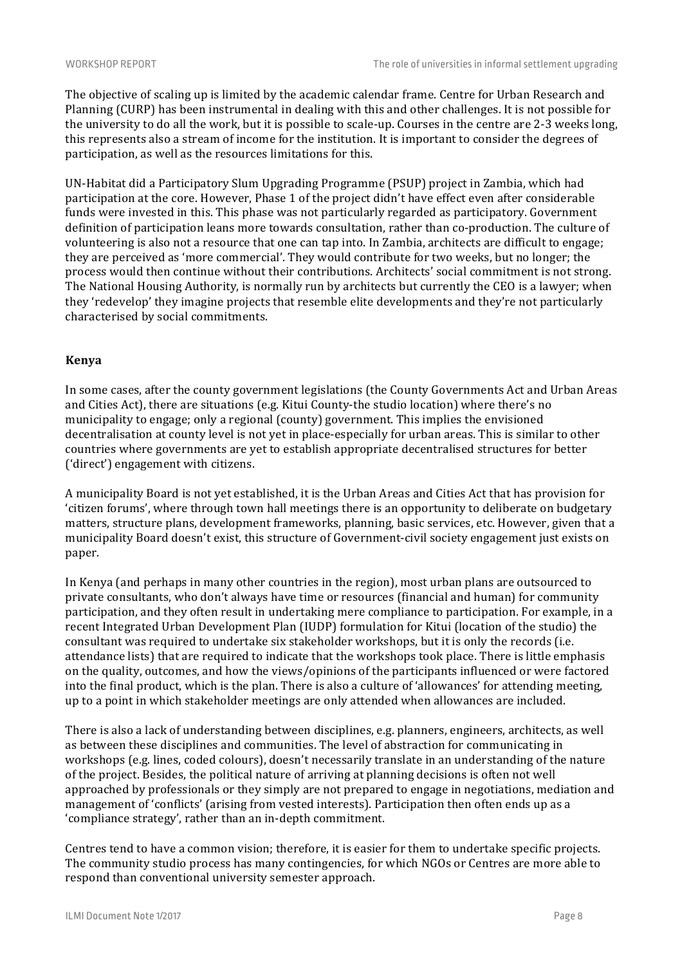The objective of scaling up is limited by the academic calendar frame. Centre for Urban Research and Planning (CURP) has been instrumental in dealing with this and other challenges. It is not possible for the university to do all the work, but it is possible to scale-up. Courses in the centre are 2-3 weeks long, this represents also a stream of income for the institution. It is important to consider the degrees of participation, as well as the resources limitations for this.

UN-Habitat did a Participatory Slum Upgrading Programme (PSUP) project in Zambia, which had participation at the core. However, Phase 1 of the project didn't have effect even after considerable funds were invested in this. This phase was not particularly regarded as participatory. Government definition of participation leans more towards consultation, rather than co-production. The culture of volunteering is also not a resource that one can tap into. In Zambia, architects are difficult to engage; they are perceived as 'more commercial'. They would contribute for two weeks, but no longer; the process would then continue without their contributions. Architects' social commitment is not strong. The National Housing Authority, is normally run by architects but currently the CEO is a lawyer; when they 'redevelop' they imagine projects that resemble elite developments and they're not particularly characterised by social commitments.

#### **Kenya**

In some cases, after the county government legislations (the County Governments Act and Urban Areas and Cities Act), there are situations (e.g. Kitui County-the studio location) where there's no municipality to engage; only a regional (county) government. This implies the envisioned decentralisation at county level is not yet in place-especially for urban areas. This is similar to other countries where governments are yet to establish appropriate decentralised structures for better ('direct') engagement with citizens.

A municipality Board is not yet established, it is the Urban Areas and Cities Act that has provision for 'citizen forums', where through town hall meetings there is an opportunity to deliberate on budgetary matters, structure plans, development frameworks, planning, basic services, etc. However, given that a municipality Board doesn't exist, this structure of Government-civil society engagement just exists on paper.

In Kenya (and perhaps in many other countries in the region), most urban plans are outsourced to private consultants, who don't always have time or resources (financial and human) for community participation, and they often result in undertaking mere compliance to participation. For example, in a recent Integrated Urban Development Plan (IUDP) formulation for Kitui (location of the studio) the consultant was required to undertake six stakeholder workshops, but it is only the records (i.e. attendance lists) that are required to indicate that the workshops took place. There is little emphasis on the quality, outcomes, and how the views/opinions of the participants influenced or were factored into the final product, which is the plan. There is also a culture of 'allowances' for attending meeting, up to a point in which stakeholder meetings are only attended when allowances are included.

There is also a lack of understanding between disciplines, e.g. planners, engineers, architects, as well as between these disciplines and communities. The level of abstraction for communicating in workshops (e.g. lines, coded colours), doesn't necessarily translate in an understanding of the nature of the project. Besides, the political nature of arriving at planning decisions is often not well approached by professionals or they simply are not prepared to engage in negotiations, mediation and management of 'conflicts' (arising from vested interests). Participation then often ends up as a 'compliance strategy', rather than an in-depth commitment.

Centres tend to have a common vision; therefore, it is easier for them to undertake specific projects. The community studio process has many contingencies, for which NGOs or Centres are more able to respond than conventional university semester approach.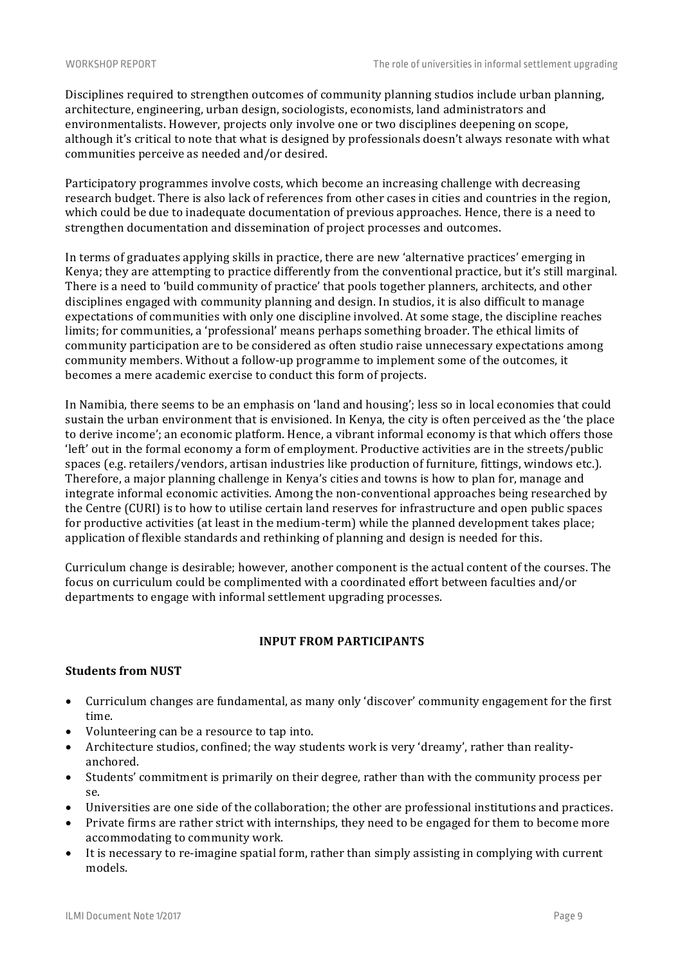Disciplines required to strengthen outcomes of community planning studios include urban planning, architecture, engineering, urban design, sociologists, economists, land administrators and environmentalists. However, projects only involve one or two disciplines deepening on scope, although it's critical to note that what is designed by professionals doesn't always resonate with what communities perceive as needed and/or desired.

Participatory programmes involve costs, which become an increasing challenge with decreasing research budget. There is also lack of references from other cases in cities and countries in the region, which could be due to inadequate documentation of previous approaches. Hence, there is a need to strengthen documentation and dissemination of project processes and outcomes.

In terms of graduates applying skills in practice, there are new 'alternative practices' emerging in Kenya; they are attempting to practice differently from the conventional practice, but it's still marginal. There is a need to 'build community of practice' that pools together planners, architects, and other disciplines engaged with community planning and design. In studios, it is also difficult to manage expectations of communities with only one discipline involved. At some stage, the discipline reaches limits; for communities, a 'professional' means perhaps something broader. The ethical limits of community participation are to be considered as often studio raise unnecessary expectations among community members. Without a follow-up programme to implement some of the outcomes, it becomes a mere academic exercise to conduct this form of projects.

In Namibia, there seems to be an emphasis on 'land and housing'; less so in local economies that could sustain the urban environment that is envisioned. In Kenya, the city is often perceived as the 'the place to derive income'; an economic platform. Hence, a vibrant informal economy is that which offers those 'left' out in the formal economy a form of employment. Productive activities are in the streets/public spaces (e.g. retailers/vendors, artisan industries like production of furniture, fittings, windows etc.). Therefore, a major planning challenge in Kenya's cities and towns is how to plan for, manage and integrate informal economic activities. Among the non-conventional approaches being researched by the Centre (CURI) is to how to utilise certain land reserves for infrastructure and open public spaces for productive activities (at least in the medium-term) while the planned development takes place; application of flexible standards and rethinking of planning and design is needed for this.

Curriculum change is desirable; however, another component is the actual content of the courses. The focus on curriculum could be complimented with a coordinated effort between faculties and/or departments to engage with informal settlement upgrading processes.

# **INPUT FROM PARTICIPANTS**

# **Students from NUST**

- Curriculum changes are fundamental, as many only 'discover' community engagement for the first time.
- Volunteering can be a resource to tap into.
- Architecture studios, confined; the way students work is very 'dreamy', rather than realityanchored.
- Students' commitment is primarily on their degree, rather than with the community process per se.
- Universities are one side of the collaboration; the other are professional institutions and practices.
- Private firms are rather strict with internships, they need to be engaged for them to become more accommodating to community work.
- It is necessary to re-imagine spatial form, rather than simply assisting in complying with current models.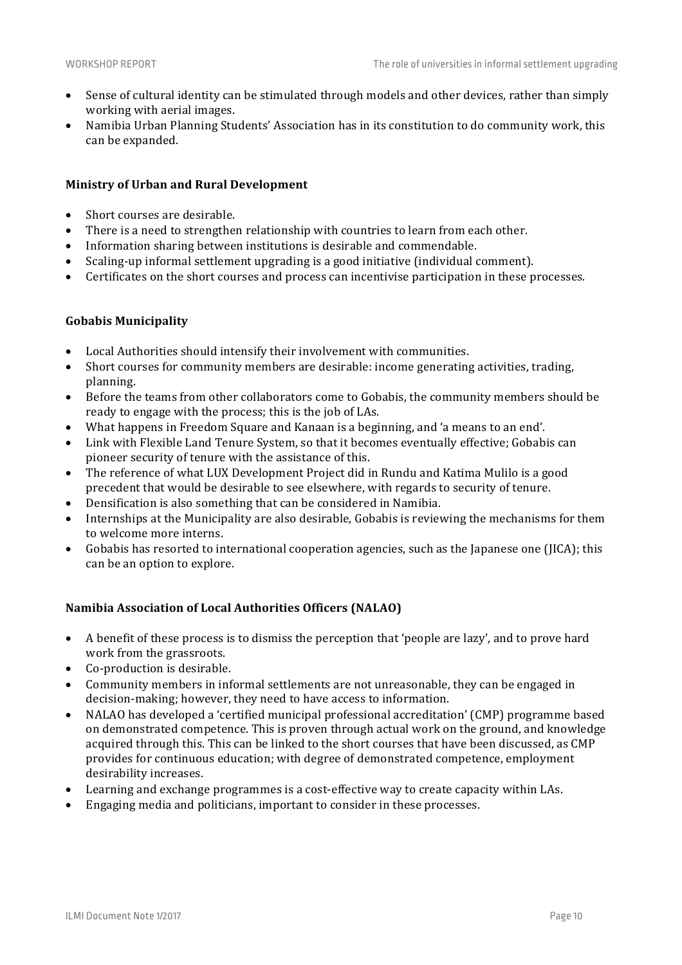- Sense of cultural identity can be stimulated through models and other devices, rather than simply working with aerial images.
- Namibia Urban Planning Students' Association has in its constitution to do community work, this can be expanded.

#### **Ministry of Urban and Rural Development**

- Short courses are desirable.
- There is a need to strengthen relationship with countries to learn from each other.
- Information sharing between institutions is desirable and commendable.
- Scaling-up informal settlement upgrading is a good initiative (individual comment).
- Certificates on the short courses and process can incentivise participation in these processes.

#### **Gobabis Municipality**

- Local Authorities should intensify their involvement with communities.
- Short courses for community members are desirable: income generating activities, trading, planning.
- Before the teams from other collaborators come to Gobabis, the community members should be ready to engage with the process; this is the job of LAs.
- What happens in Freedom Square and Kanaan is a beginning, and 'a means to an end'.
- Link with Flexible Land Tenure System, so that it becomes eventually effective; Gobabis can pioneer security of tenure with the assistance of this.
- The reference of what LUX Development Project did in Rundu and Katima Mulilo is a good precedent that would be desirable to see elsewhere, with regards to security of tenure.
- Densification is also something that can be considered in Namibia.
- Internships at the Municipality are also desirable, Gobabis is reviewing the mechanisms for them to welcome more interns.
- Gobabis has resorted to international cooperation agencies, such as the Japanese one (JICA); this can be an option to explore.

#### **Namibia Association of Local Authorities Officers (NALAO)**

- A benefit of these process is to dismiss the perception that 'people are lazy', and to prove hard work from the grassroots.
- Co-production is desirable.
- Community members in informal settlements are not unreasonable, they can be engaged in decision-making; however, they need to have access to information.
- NALAO has developed a 'certified municipal professional accreditation' (CMP) programme based on demonstrated competence. This is proven through actual work on the ground, and knowledge acquired through this. This can be linked to the short courses that have been discussed, as CMP provides for continuous education; with degree of demonstrated competence, employment desirability increases.
- Learning and exchange programmes is a cost-effective way to create capacity within LAs.
- Engaging media and politicians, important to consider in these processes.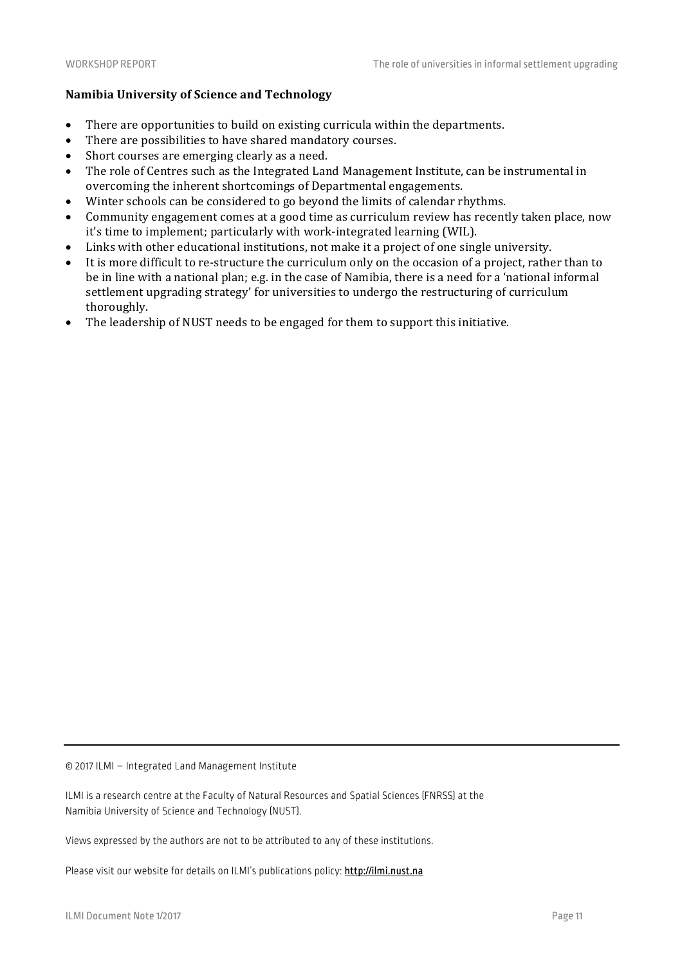# **Namibia University of Science and Technology**

- There are opportunities to build on existing curricula within the departments.
- There are possibilities to have shared mandatory courses.
- Short courses are emerging clearly as a need.
- The role of Centres such as the Integrated Land Management Institute, can be instrumental in overcoming the inherent shortcomings of Departmental engagements.
- Winter schools can be considered to go beyond the limits of calendar rhythms.
- Community engagement comes at a good time as curriculum review has recently taken place, now it's time to implement; particularly with work-integrated learning (WIL).
- Links with other educational institutions, not make it a project of one single university.
- It is more difficult to re-structure the curriculum only on the occasion of a project, rather than to be in line with a national plan; e.g. in the case of Namibia, there is a need for a 'national informal settlement upgrading strategy' for universities to undergo the restructuring of curriculum thoroughly.
- The leadership of NUST needs to be engaged for them to support this initiative.

© 2017 ILMI – Integrated Land Management Institute

ILMI is a research centre at the Faculty of Natural Resources and Spatial Sciences (FNRSS) at the Namibia University of Science and Technology (NUST).

Views expressed by the authors are not to be attributed to any of these institutions.

Please visit our website for details on ILMI's publications policy: http://ilmi.nust.na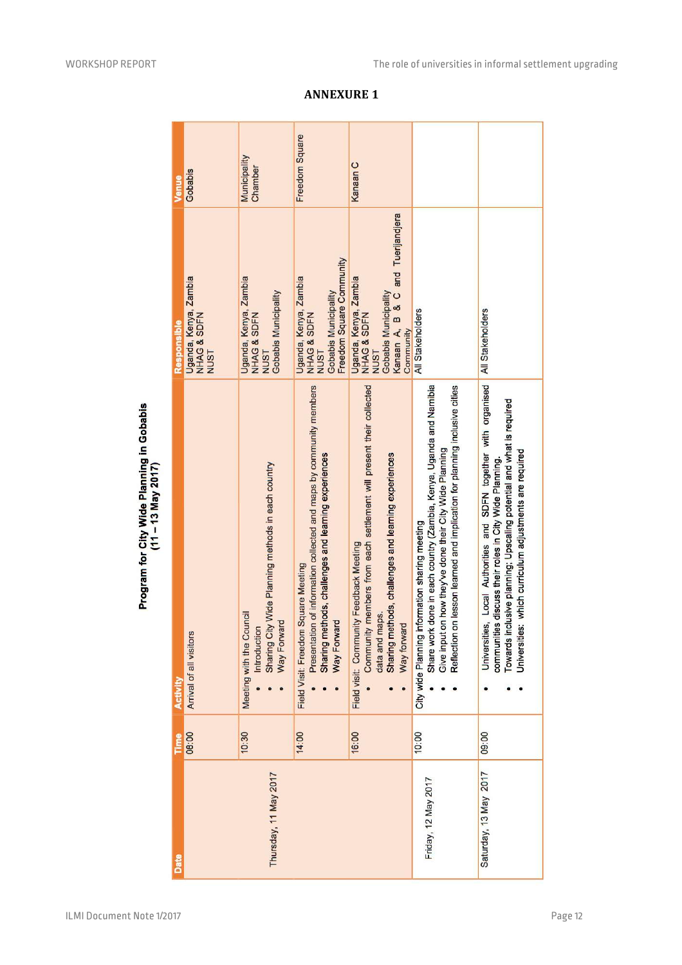| Venue           | Gobabis                                             | Municipality<br>Chamber                                                                                       | Freedom Square                                                                                                                                                                    | Kanaan C                                                                                                                                                                                                |                                                                                                                                                                                                                                                                  |                                                                                                                                                                                                                                                               |
|-----------------|-----------------------------------------------------|---------------------------------------------------------------------------------------------------------------|-----------------------------------------------------------------------------------------------------------------------------------------------------------------------------------|---------------------------------------------------------------------------------------------------------------------------------------------------------------------------------------------------------|------------------------------------------------------------------------------------------------------------------------------------------------------------------------------------------------------------------------------------------------------------------|---------------------------------------------------------------------------------------------------------------------------------------------------------------------------------------------------------------------------------------------------------------|
| Responsible     | Uganda, Kenya, Zambia<br>NHAG & SDFN<br><b>NUST</b> | Uganda, Kenya, Zambia<br>Gobabis Municipality<br>NHAG & SDFN<br><b>NUST</b>                                   | Freedom Square Community<br>Uganda, Kenya, Zambia<br>Gobabis Municipality<br>NHAG & SDFN<br><b>NUST</b>                                                                           | Kanaan A, B & C and Tuerijandjera<br>Uganda, Kenya, Zambia<br>NHAG & SDFN<br>Gobabis Municipality<br>Community<br><b>NUST</b>                                                                           | All Stakeholders                                                                                                                                                                                                                                                 | <b>All Stakeholders</b>                                                                                                                                                                                                                                       |
| <b>Activity</b> | Arrival of all visitors                             | Sharing City Wide Planning methods in each country<br>Meeting with the Council<br>Way Forward<br>Introduction | Presentation of information collected and maps by community members<br>Sharing methods, challenges and learning experiences<br>Field Visit: Freedom Square Meeting<br>Way Forward | Community members from each settlement will present their collected<br>Sharing methods, challenges and learning experiences<br>Field visit: Community Feedback Meeting<br>data and maps.<br>Way forward | Share work done in each country (Zambia, Kenya, Uganda and Namibia<br>on lesson learned and implication for planning inclusive cities<br>Give input on how they've done their City Wide Planning<br>City wide Planning information sharing meeting<br>Reflection | Universities, Local Authorities and SDFN together with organised<br>Towards inclusive planning; Upscaling potential and what is required<br>Universities: which curriculum adjustments are required<br>communities discuss their roles in City Wide Planning. |
| Time            | 08:00                                               | 10:30                                                                                                         | 14:00                                                                                                                                                                             | 16:00                                                                                                                                                                                                   | 10:00                                                                                                                                                                                                                                                            | 09:00                                                                                                                                                                                                                                                         |
| Date            |                                                     | Thursday, 11 May 2017                                                                                         |                                                                                                                                                                                   |                                                                                                                                                                                                         | Friday, 12 May 2017                                                                                                                                                                                                                                              | Saturday, 13 May 2017                                                                                                                                                                                                                                         |

**ANNEXURE 1**

Program for City Wide Planning in Gobabis<br>(11 – 13 May 2017)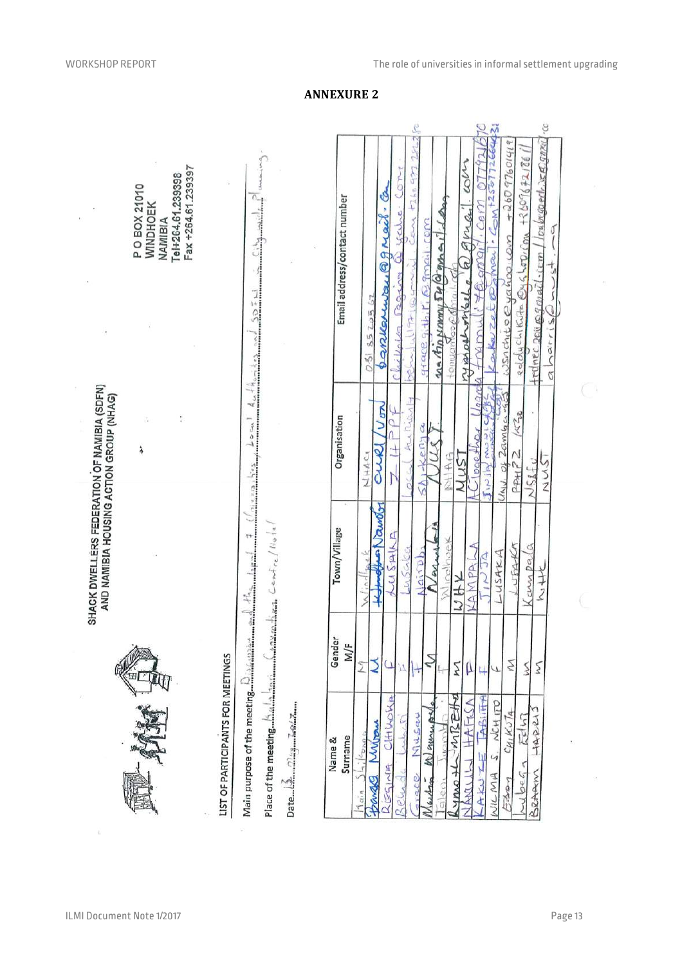|                                                                                                                                                   |               | SHACK DWELLERS FEDERATION OF NAMIBIA (SDFN)<br>AND NAMIBIA HOUSING ACTION GROUP (NHAG) |                    |                                   |                                                                                        |
|---------------------------------------------------------------------------------------------------------------------------------------------------|---------------|----------------------------------------------------------------------------------------|--------------------|-----------------------------------|----------------------------------------------------------------------------------------|
|                                                                                                                                                   | Ko            |                                                                                        | ć                  |                                   | Fax +264.61.239397<br>Tel+264.61.239398<br>P O BOX 21010<br><b>WINDHOEK</b><br>NAMIBIA |
| LIST OF PARTICIPANTS FOR MEETINGS                                                                                                                 |               |                                                                                        |                    |                                   |                                                                                        |
| Place of the meeting $\liminf_{n\to\infty}\liminf_{n\to\infty}\max_{m\to\infty}\sum_{k=1,\dots,\ell\geq n-k}\sum_{n\in\mathbb{Z}}\mu_n\neq\infty$ |               |                                                                                        |                    |                                   | 48-2                                                                                   |
|                                                                                                                                                   |               |                                                                                        |                    |                                   |                                                                                        |
| Surname<br>Name &                                                                                                                                 | Gender<br>M/F | Town/Village                                                                           | Organisation       |                                   | Email address/contact number                                                           |
| $O(L_1)$<br>Muran<br>$\frac{1}{1}$ $\frac{1}{2}$<br>2722<br>thouses<br>hain                                                                       |               | Komolbun Nauroly<br>challage)                                                          | Von<br>auel<br>こや土 | Barrenway Qgmail a<br>0.518520562 |                                                                                        |

 $\frac{1}{2}$ 



 $\bar{R}$ 

ž

X

**ANNEXURE 2**

 $\bigcap$ 

0